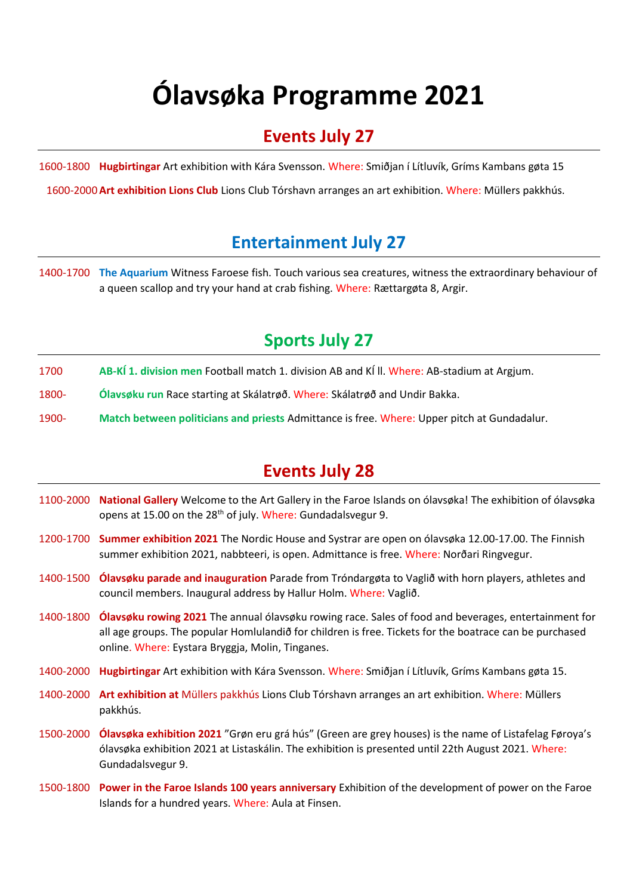## **Ólavsøka Programme 2021**

#### **Events July 27**

1600-1800 **Hugbirtingar** Art exhibition with Kára Svensson. Where: Smiðjan í Lítluvík, Gríms Kambans gøta 15

1600-2000**Art exhibition Lions Club** Lions Club Tórshavn arranges an art exhibition. Where: Müllers pakkhús.

#### **Entertainment July 27**

1400-1700 **The Aquarium** Witness Faroese fish. Touch various sea creatures, witness the extraordinary behaviour of a queen scallop and try your hand at crab fishing. Where: Rættargøta 8, Argir.

#### **Sports July 27**

- 1700 **AB-KÍ 1. division men** Football match 1. division AB and KÍ ll. Where: AB-stadium at Argjum.
- 1800- **Ólavsøku run** Race starting at Skálatrøð. Where: Skálatrøð and Undir Bakka.
- 1900- **Match between politicians and priests** Admittance is free. Where: Upper pitch at Gundadalur.

#### **Events July 28**

- 1100-2000 **National Gallery** Welcome to the Art Gallery in the Faroe Islands on ólavsøka! The exhibition of ólavsøka opens at 15.00 on the 28<sup>th</sup> of july. Where: Gundadalsvegur 9.
- 1200-1700 **Summer exhibition 2021** The Nordic House and Systrar are open on ólavsøka 12.00-17.00. The Finnish summer exhibition 2021, nabbteeri, is open. Admittance is free. Where: Norðari Ringvegur.
- 1400-1500 **Ólavsøku parade and inauguration** Parade from Tróndargøta to Vaglið with horn players, athletes and council members. Inaugural address by Hallur Holm. Where: Vaglið.
- 1400-1800 **Ólavsøku rowing 2021** The annual ólavsøku rowing race. Sales of food and beverages, entertainment for all age groups. The popular Homlulandið for children is free. Tickets for the boatrace can be purchased online. Where: Eystara Bryggja, Molin, Tinganes.
- 1400-2000 **Hugbirtingar** Art exhibition with Kára Svensson. Where: Smiðjan í Lítluvík, Gríms Kambans gøta 15.
- 1400-2000 **Art exhibition at** Müllers pakkhús Lions Club Tórshavn arranges an art exhibition. Where: Müllers pakkhús.
- 1500-2000 **Ólavsøka exhibition 2021** "Grøn eru grá hús" (Green are grey houses) is the name of Listafelag Føroya's ólavsøka exhibition 2021 at Listaskálin. The exhibition is presented until 22th August 2021. Where: Gundadalsvegur 9.
- 1500-1800 **Power in the Faroe Islands 100 years anniversary** Exhibition of the development of power on the Faroe Islands for a hundred years. Where: Aula at Finsen.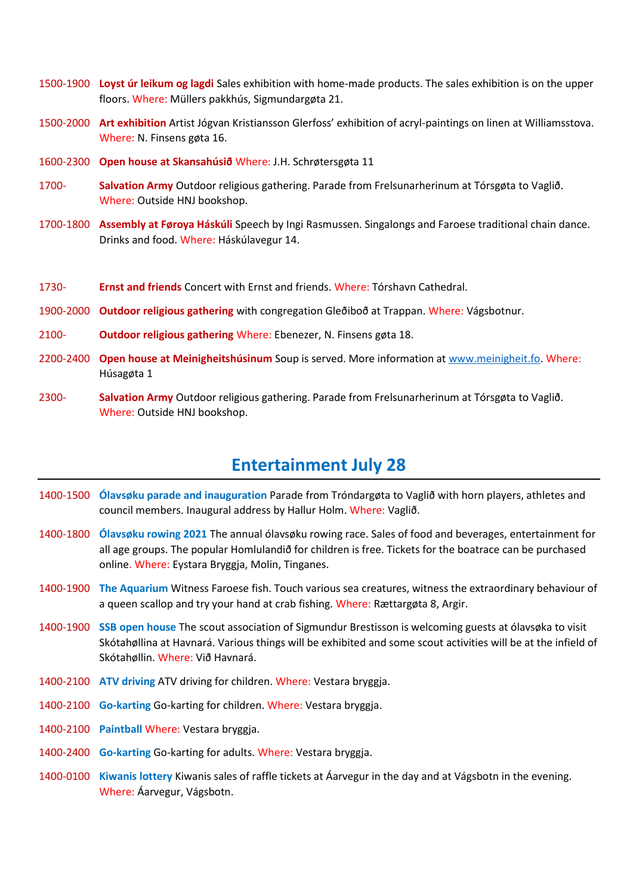- 1500-1900 **Loyst úr leikum og lagdi** Sales exhibition with home-made products. The sales exhibition is on the upper floors. Where: Müllers pakkhús, Sigmundargøta 21.
- 1500-2000 **Art exhibition** Artist Jógvan Kristiansson Glerfoss' exhibition of acryl-paintings on linen at Williamsstova. Where: N. Finsens gøta 16.
- 1600-2300 **Open house at Skansahúsið** Where: J.H. Schrøtersgøta 11
- 1700- **Salvation Army** Outdoor religious gathering. Parade from Frelsunarherinum at Tórsgøta to Vaglið. Where: Outside HNJ bookshop.
- 1700-1800 **Assembly at Føroya Háskúli** Speech by Ingi Rasmussen. Singalongs and Faroese traditional chain dance. Drinks and food. Where: Háskúlavegur 14.
- 1730- **Ernst and friends** Concert with Ernst and friends. Where: Tórshavn Cathedral.
- 1900-2000 **Outdoor religious gathering** with congregation Gleðiboð at Trappan. Where: Vágsbotnur.
- 2100- **Outdoor religious gathering** Where: Ebenezer, N. Finsens gøta 18.
- 2200-2400 **Open house at Meinigheitshúsinum** Soup is served. More information at [www.meinigheit.fo.](http://www.meinigheit.fo/) Where: Húsagøta 1
- 2300- **Salvation Army** Outdoor religious gathering. Parade from Frelsunarherinum at Tórsgøta to Vaglið. Where: Outside HNJ bookshop.

#### **Entertainment July 28**

- 1400-1500 **Ólavsøku parade and inauguration** Parade from Tróndargøta to Vaglið with horn players, athletes and council members. Inaugural address by Hallur Holm. Where: Vaglið.
- 1400-1800 **Ólavsøku rowing 2021** The annual ólavsøku rowing race. Sales of food and beverages, entertainment for all age groups. The popular Homlulandið for children is free. Tickets for the boatrace can be purchased online. Where: Eystara Bryggja, Molin, Tinganes.
- 1400-1900 **The Aquarium** Witness Faroese fish. Touch various sea creatures, witness the extraordinary behaviour of a queen scallop and try your hand at crab fishing. Where: Rættargøta 8, Argir.
- 1400-1900 **SSB open house** The scout association of Sigmundur Brestisson is welcoming guests at ólavsøka to visit Skótahøllina at Havnará. Various things will be exhibited and some scout activities will be at the infield of Skótahøllin. Where: Við Havnará.
- 1400-2100 **ATV driving** ATV driving for children. Where: Vestara bryggja.
- 1400-2100 **Go-karting** Go-karting for children. Where: Vestara bryggja.
- 1400-2100 **Paintball** Where: Vestara bryggja.
- 1400-2400 **Go-karting** Go-karting for adults. Where: Vestara bryggja.
- 1400-0100 **Kiwanis lottery** Kiwanis sales of raffle tickets at Áarvegur in the day and at Vágsbotn in the evening. Where: Áarvegur, Vágsbotn.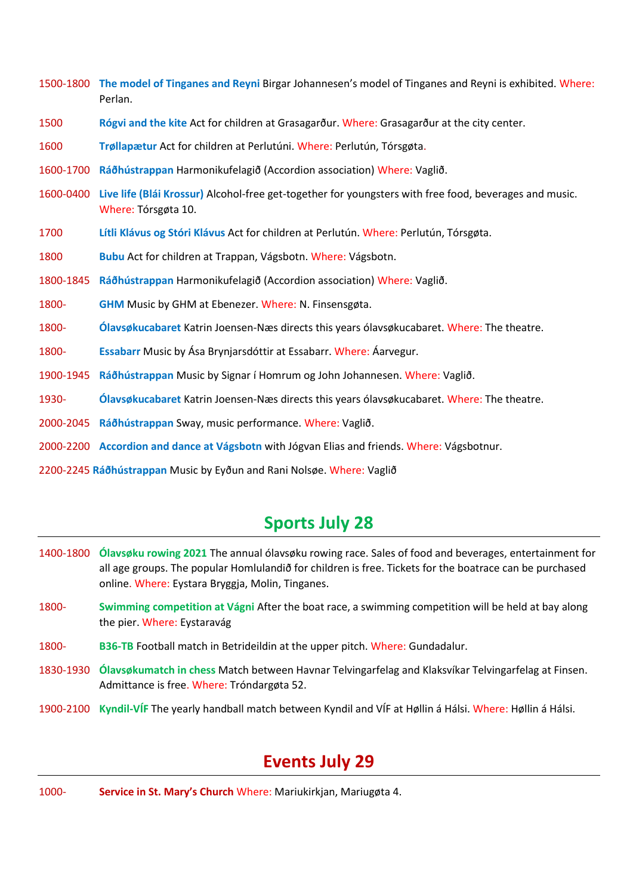- 1500-1800 **The model of Tinganes and Reyni** Birgar Johannesen's model of Tinganes and Reyni is exhibited. Where: Perlan.
- 1500 **Rógvi and the kite** Act for children at Grasagarður. Where: Grasagarður at the city center.
- 1600 **Trøllapætur** Act for children at Perlutúni. Where: Perlutún, Tórsgøta.
- 1600-1700 **Ráðhústrappan** Harmonikufelagið (Accordion association) Where: Vaglið.
- 1600-0400 **Live life (Blái Krossur)** Alcohol-free get-together for youngsters with free food, beverages and music. Where: Tórsgøta 10.
- 1700 **Lítli Klávus og Stóri Klávus** Act for children at Perlutún. Where: Perlutún, Tórsgøta.
- 1800 **Bubu** Act for children at Trappan, Vágsbotn. Where: Vágsbotn.
- 1800-1845 **Ráðhústrappan** Harmonikufelagið (Accordion association) Where: Vaglið.
- 1800- **GHM** Music by GHM at Ebenezer. Where: N. Finsensgøta.
- 1800- **Ólavsøkucabaret** Katrin Joensen-Næs directs this years ólavsøkucabaret. Where: The theatre.
- 1800- **Essabarr** Music by Ása Brynjarsdóttir at Essabarr. Where: Áarvegur.
- 1900-1945 **Ráðhústrappan** Music by Signar í Homrum og John Johannesen. Where: Vaglið.
- 1930- **Ólavsøkucabaret** Katrin Joensen-Næs directs this years ólavsøkucabaret. Where: The theatre.
- 2000-2045 **Ráðhústrappan** Sway, music performance. Where: Vaglið.
- 2000-2200 **Accordion and dance at Vágsbotn** with Jógvan Elias and friends. Where: Vágsbotnur.
- 2200-2245 **Ráðhústrappan** Music by Eyðun and Rani Nolsøe. Where: Vaglið

#### **Sports July 28**

- 1400-1800 **Ólavsøku rowing 2021** The annual ólavsøku rowing race. Sales of food and beverages, entertainment for all age groups. The popular Homlulandið for children is free. Tickets for the boatrace can be purchased online. Where: Eystara Bryggja, Molin, Tinganes.
- 1800- **Swimming competition at Vágni** After the boat race, a swimming competition will be held at bay along the pier. Where: Eystaravág
- 1800- **B36-TB** Football match in Betrideildin at the upper pitch. Where: Gundadalur.
- 1830-1930 **Ólavsøkumatch in chess** Match between Havnar Telvingarfelag and Klaksvíkar Telvingarfelag at Finsen. Admittance is free. Where: Tróndargøta 52.
- 1900-2100 **Kyndil-VÍF** The yearly handball match between Kyndil and VÍF at Høllin á Hálsi. Where: Høllin á Hálsi.

#### **Events July 29**

1000- **Service in St. Mary's Church** Where: Mariukirkjan, Mariugøta 4.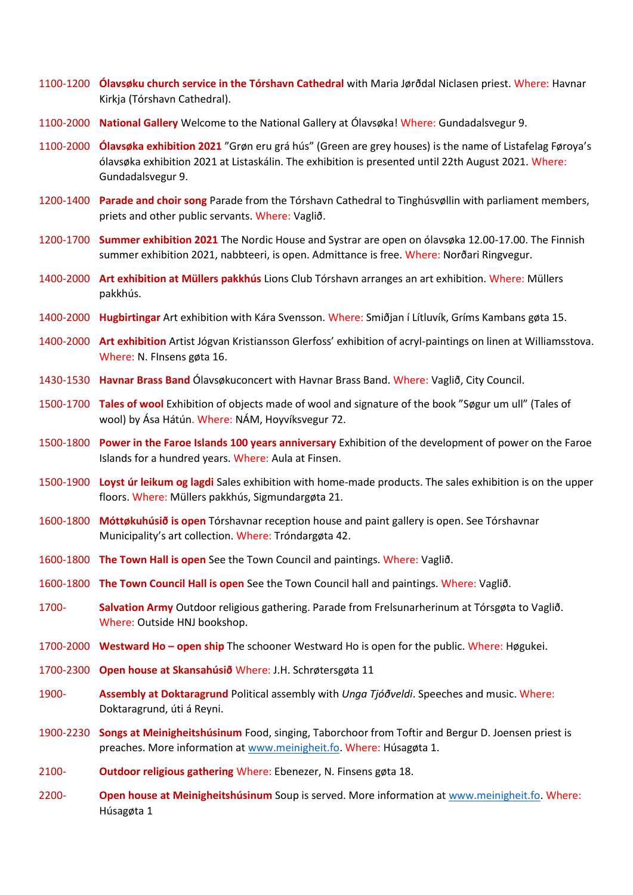- 1100-1200 **Ólavsøku church service in the Tórshavn Cathedral** with Maria Jørðdal Niclasen priest. Where: Havnar Kirkja (Tórshavn Cathedral).
- 1100-2000 **National Gallery** Welcome to the National Gallery at Ólavsøka! Where: Gundadalsvegur 9.
- 1100-2000 **Ólavsøka exhibition 2021** "Grøn eru grá hús" (Green are grey houses) is the name of Listafelag Føroya's ólavsøka exhibition 2021 at Listaskálin. The exhibition is presented until 22th August 2021. Where: Gundadalsvegur 9.
- 1200-1400 **Parade and choir song** Parade from the Tórshavn Cathedral to Tinghúsvøllin with parliament members, priets and other public servants. Where: Vaglið.
- 1200-1700 **Summer exhibition 2021** The Nordic House and Systrar are open on ólavsøka 12.00-17.00. The Finnish summer exhibition 2021, nabbteeri, is open. Admittance is free. Where: Norðari Ringvegur.
- 1400-2000 **Art exhibition at Müllers pakkhús** Lions Club Tórshavn arranges an art exhibition. Where: Müllers pakkhús.
- 1400-2000 **Hugbirtingar** Art exhibition with Kára Svensson. Where: Smiðjan í Lítluvík, Gríms Kambans gøta 15.
- 1400-2000 **Art exhibition** Artist Jógvan Kristiansson Glerfoss' exhibition of acryl-paintings on linen at Williamsstova. Where: N. FInsens gøta 16.
- 1430-1530 **Havnar Brass Band** Ólavsøkuconcert with Havnar Brass Band. Where: Vaglið, City Council.
- 1500-1700 **Tales of wool** Exhibition of objects made of wool and signature of the book "Søgur um ull" (Tales of wool) by Ása Hátún. Where: NÁM, Hoyvíksvegur 72.
- 1500-1800 **Power in the Faroe Islands 100 years anniversary** Exhibition of the development of power on the Faroe Islands for a hundred years. Where: Aula at Finsen.
- 1500-1900 **Loyst úr leikum og lagdi** Sales exhibition with home-made products. The sales exhibition is on the upper floors. Where: Müllers pakkhús, Sigmundargøta 21.
- 1600-1800 **Móttøkuhúsið is open** Tórshavnar reception house and paint gallery is open. See Tórshavnar Municipality's art collection. Where: Tróndargøta 42.
- 1600-1800 **The Town Hall is open** See the Town Council and paintings. Where: Vaglið.
- 1600-1800 **The Town Council Hall is open** See the Town Council hall and paintings. Where: Vaglið.
- 1700- **Salvation Army** Outdoor religious gathering. Parade from Frelsunarherinum at Tórsgøta to Vaglið. Where: Outside HNJ bookshop.
- 1700-2000 **Westward Ho – open ship** The schooner Westward Ho is open for the public. Where: Høgukei.
- 1700-2300 **Open house at Skansahúsið** Where: J.H. Schrøtersgøta 11
- 1900- **Assembly at Doktaragrund** Political assembly with *Unga Tjóðveldi*. Speeches and music. Where: Doktaragrund, úti á Reyni.
- 1900-2230 **Songs at Meinigheitshúsinum** Food, singing, Taborchoor from Toftir and Bergur D. Joensen priest is preaches. More information at [www.meinigheit.fo.](http://www.meinigheit.fo/) Where: Húsagøta 1.
- 2100- **Outdoor religious gathering** Where: Ebenezer, N. Finsens gøta 18.
- 2200- **Open house at Meinigheitshúsinum** Soup is served. More information at [www.meinigheit.fo.](http://www.meinigheit.fo/) Where: Húsagøta 1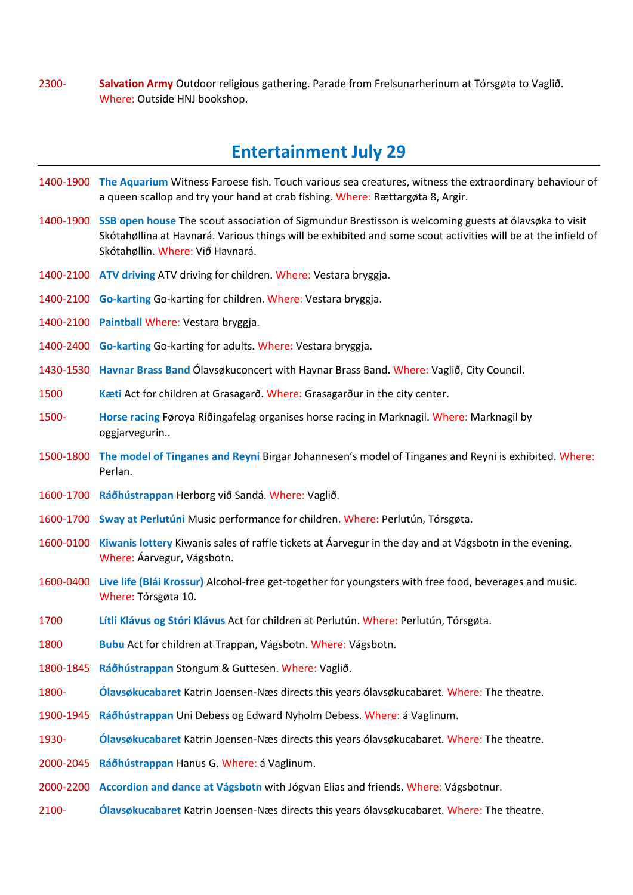2300- **Salvation Army** Outdoor religious gathering. Parade from Frelsunarherinum at Tórsgøta to Vaglið. Where: Outside HNJ bookshop.

#### **Entertainment July 29**

- 1400-1900 **The Aquarium** Witness Faroese fish. Touch various sea creatures, witness the extraordinary behaviour of a queen scallop and try your hand at crab fishing. Where: Rættargøta 8, Argir.
- 1400-1900 **SSB open house** The scout association of Sigmundur Brestisson is welcoming guests at ólavsøka to visit Skótahøllina at Havnará. Various things will be exhibited and some scout activities will be at the infield of Skótahøllin. Where: Við Havnará.
- 1400-2100 **ATV driving** ATV driving for children. Where: Vestara bryggja.
- 1400-2100 **Go-karting** Go-karting for children. Where: Vestara bryggja.
- 1400-2100 **Paintball** Where: Vestara bryggja.
- 1400-2400 **Go-karting** Go-karting for adults. Where: Vestara bryggja.
- 1430-1530 **Havnar Brass Band** Ólavsøkuconcert with Havnar Brass Band. Where: Vaglið, City Council.
- 1500 **Kæti** Act for children at Grasagarð. Where: Grasagarður in the city center.
- 1500- **Horse racing** Føroya Ríðingafelag organises horse racing in Marknagil. Where: Marknagil by oggjarvegurin..
- 1500-1800 **The model of Tinganes and Reyni** Birgar Johannesen's model of Tinganes and Reyni is exhibited. Where: Perlan.
- 1600-1700 **Ráðhústrappan** Herborg við Sandá. Where: Vaglið.
- 1600-1700 **Sway at Perlutúni** Music performance for children. Where: Perlutún, Tórsgøta.
- 1600-0100 **Kiwanis lottery** Kiwanis sales of raffle tickets at Áarvegur in the day and at Vágsbotn in the evening. Where: Áarvegur, Vágsbotn.
- 1600-0400 **Live life (Blái Krossur)** Alcohol-free get-together for youngsters with free food, beverages and music. Where: Tórsgøta 10.
- 1700 **Lítli Klávus og Stóri Klávus** Act for children at Perlutún. Where: Perlutún, Tórsgøta.
- 1800 **Bubu** Act for children at Trappan, Vágsbotn. Where: Vágsbotn.
- 1800-1845 **Ráðhústrappan** Stongum & Guttesen. Where: Vaglið.
- 1800- **Ólavsøkucabaret** Katrin Joensen-Næs directs this years ólavsøkucabaret. Where: The theatre.
- 1900-1945 **Ráðhústrappan** Uni Debess og Edward Nyholm Debess. Where: á Vaglinum.
- 1930- **Ólavsøkucabaret** Katrin Joensen-Næs directs this years ólavsøkucabaret. Where: The theatre.
- 2000-2045 **Ráðhústrappan** Hanus G. Where: á Vaglinum.
- 2000-2200 **Accordion and dance at Vágsbotn** with Jógvan Elias and friends. Where: Vágsbotnur.
- 2100- **Ólavsøkucabaret** Katrin Joensen-Næs directs this years ólavsøkucabaret. Where: The theatre.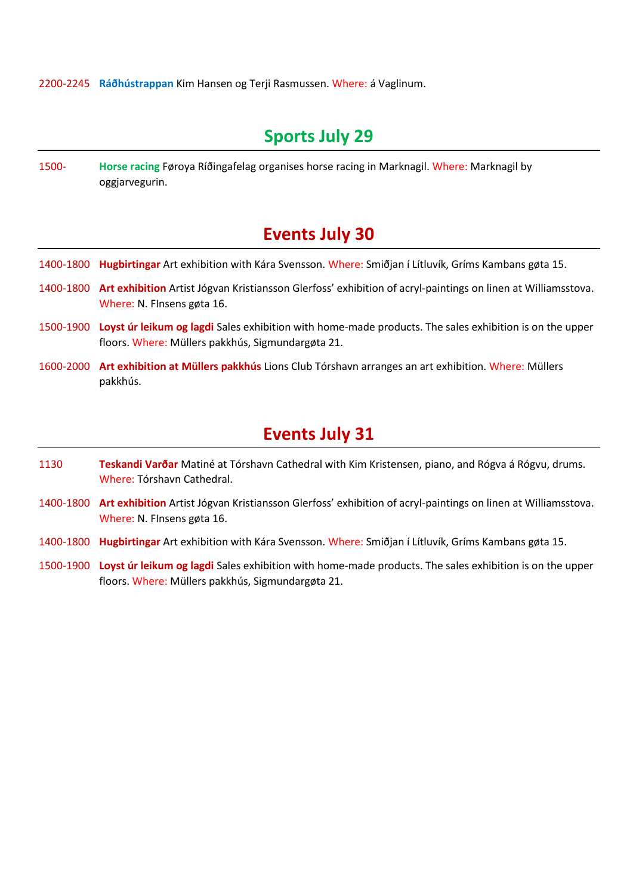2200-2245 **Ráðhústrappan** Kim Hansen og Terji Rasmussen. Where: á Vaglinum.

#### **Sports July 29**

1500- **Horse racing** Føroya Ríðingafelag organises horse racing in Marknagil. Where: Marknagil by oggjarvegurin.

#### **Events July 30**

- 1400-1800 **Hugbirtingar** Art exhibition with Kára Svensson. Where: Smiðjan í Lítluvík, Gríms Kambans gøta 15.
- 1400-1800 **Art exhibition** Artist Jógvan Kristiansson Glerfoss' exhibition of acryl-paintings on linen at Williamsstova. Where: N. FInsens gøta 16.
- 1500-1900 **Loyst úr leikum og lagdi** Sales exhibition with home-made products. The sales exhibition is on the upper floors. Where: Müllers pakkhús, Sigmundargøta 21.
- 1600-2000 **Art exhibition at Müllers pakkhús** Lions Club Tórshavn arranges an art exhibition. Where: Müllers pakkhús.

#### **Events July 31**

- 1130 **Teskandi Varðar** Matiné at Tórshavn Cathedral with Kim Kristensen, piano, and Rógva á Rógvu, drums. Where: Tórshavn Cathedral.
- 1400-1800 **Art exhibition** Artist Jógvan Kristiansson Glerfoss' exhibition of acryl-paintings on linen at Williamsstova. Where: N. FInsens gøta 16.
- 1400-1800 **Hugbirtingar** Art exhibition with Kára Svensson. Where: Smiðjan í Lítluvík, Gríms Kambans gøta 15.
- 1500-1900 **Loyst úr leikum og lagdi** Sales exhibition with home-made products. The sales exhibition is on the upper floors. Where: Müllers pakkhús, Sigmundargøta 21.